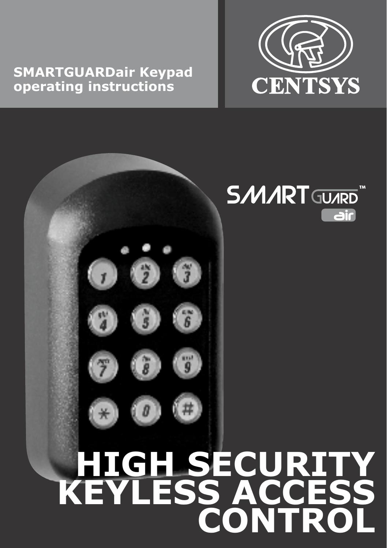# **SMARTGUARDair Keypad operating instructions**



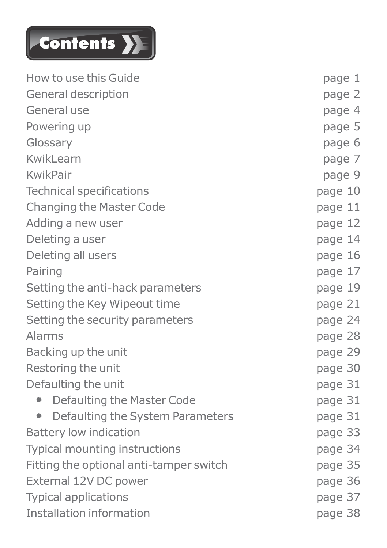

| How to use this Guide                   | page 1  |
|-----------------------------------------|---------|
| General description                     | page 2  |
| General use                             | page 4  |
| Powering up                             | page 5  |
| Glossary                                | page 6  |
| KwikLearn                               | page 7  |
| KwikPair                                | page 9  |
| Technical specifications                | page 10 |
| Changing the Master Code                | page 11 |
| Adding a new user                       | page 12 |
| Deleting a user                         | page 14 |
| Deleting all users                      | page 16 |
| Pairing                                 | page 17 |
| Setting the anti-hack parameters        | page 19 |
| Setting the Key Wipeout time            | page 21 |
| Setting the security parameters         | page 24 |
| Alarms                                  | page 28 |
| Backing up the unit                     | page 29 |
| Restoring the unit                      | page 30 |
| Defaulting the unit                     | page 31 |
| • Defaulting the Master Code            | page 31 |
| Defaulting the System Parameters<br>۰   | page 31 |
| Battery low indication                  | page 33 |
| Typical mounting instructions           | page 34 |
| Fitting the optional anti-tamper switch | page 35 |
| External 12V DC power                   | page 36 |
| <b>Typical applications</b>             | page 37 |
| Installation information                | page 38 |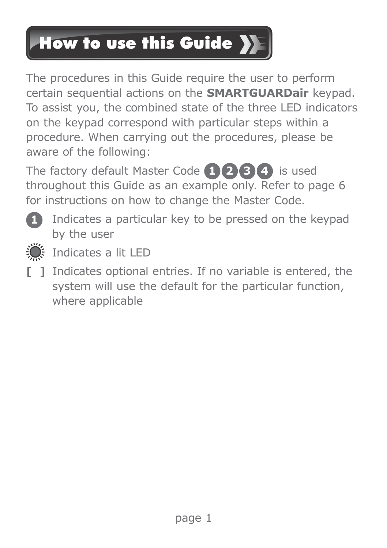## How to use this Guide >

The procedures in this Guide require the user to perform certain sequential actions on the **SMARTGUARDair** keypad. To assist you, the combined state of the three LED indicators on the keypad correspond with particular steps within a procedure. When carrying out the procedures, please be aware of the following:

The factory default Master Code (1) (2) (3) (4) is used throughout this Guide as an example only. Refer to page 6 for instructions on how to change the Master Code.



Indicates a particular key to be pressed on the keypad **1** by the user



Indicates a lit LED

**[ ]** Indicates optional entries. If no variable is entered, the system will use the default for the particular function, where applicable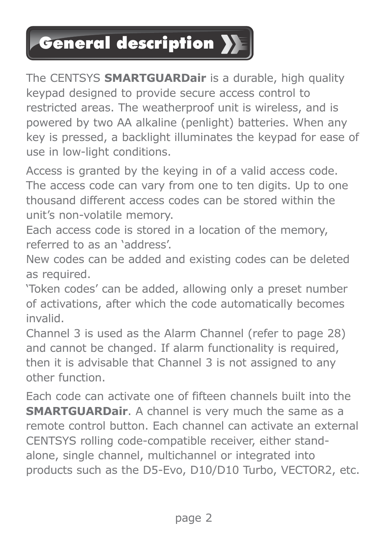## General description

The CENTSYS **SMARTGUARDair** is a durable, high quality keypad designed to provide secure access control to restricted areas. The weatherproof unit is wireless, and is powered by two AA alkaline (penlight) batteries. When any key is pressed, a backlight illuminates the keypad for ease of use in low-light conditions.

Access is granted by the keying in of a valid access code. The access code can vary from one to ten digits. Un to one thousand different access codes can be stored within the unit's non-volatile memory.

Each access code is stored in a location of the memory, referred to as an 'address'.

New codes can be added and existing codes can be deleted as required.

'Token codes' can be added, allowing only a preset number of activations, after which the code automatically becomes invalid.

Channel 3 is used as the Alarm Channel (refer to page 28) and cannot be changed. If alarm functionality is required, then it is advisable that Channel 3 is not assigned to any other function.

Each code can activate one of fifteen channels built into the **SMARTGUARDair**. A channel is very much the same as a remote control button. Each channel can activate an external CENTSYS rolling code-compatible receiver, either standalone, single channel, multichannel or integrated into products such as the D5-Evo, D10/D10 Turbo, VECTOR2, etc.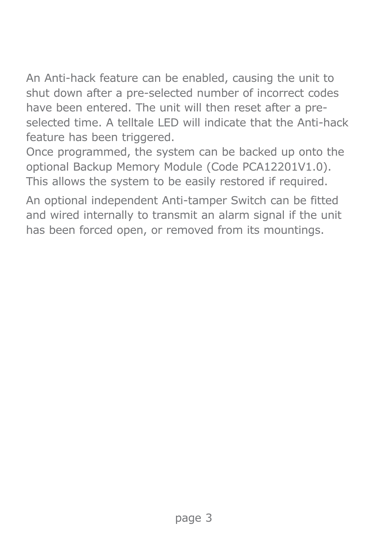An Anti-hack feature can be enabled, causing the unit to shut down after a pre-selected number of incorrect codes have been entered. The unit will then reset after a preselected time. A telltale LED will indicate that the Anti-hack feature has been triggered.

Once programmed, the system can be backed up onto the optional Backup Memory Module (Code PCA12201V1.0). This allows the system to be easily restored if required.

An optional independent Anti-tamper Switch can be fitted and wired internally to transmit an alarm signal if the unit has been forced open, or removed from its mountings.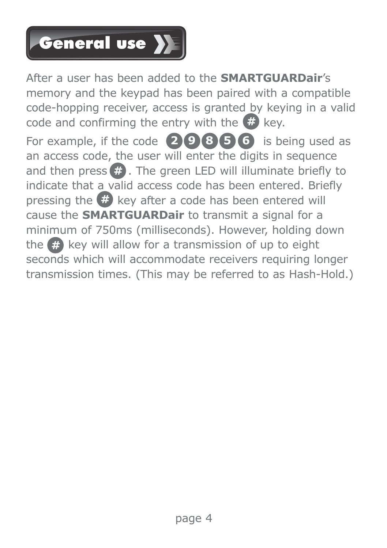# General use >

After a user has been added to the **SMARTGUARDair**'s memory and the keypad has been paired with a compatible code-hopping receiver, access is granted by keying in a valid code and confirming the entry with the **#** key. For example, if the code  $\bigcirc$  **9 8 5 6** is being used as an access code, the user will enter the digits in sequence and then press  $\#$ . The green LED will illuminate briefly to indicate that a valid access code has been entered. Briefly pressing the  $#$  key after a code has been entered will cause the **SMARTGUARDair** to transmit a signal for a minimum of 750ms (milliseconds). However, holding down the  $\#$  key will allow for a transmission of up to eight seconds which will accommodate receivers requiring longer transmission times. (This may be referred to as Hash-Hold.)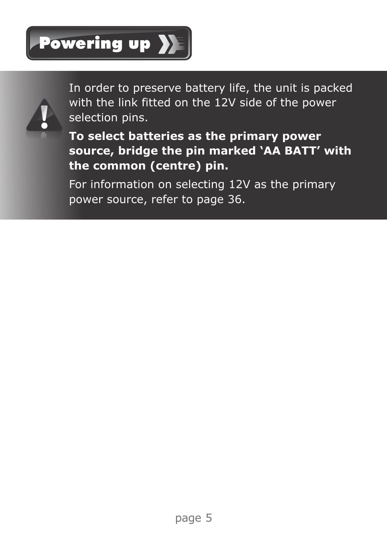



In order to preserve battery life, the unit is packed with the link fitted on the 12V side of the power selection pins.

**To select batteries as the primary power source, bridge the pin marked 'AA BATT' with the common (centre) pin.**

For information on selecting 12V as the primary power source, refer to page 36.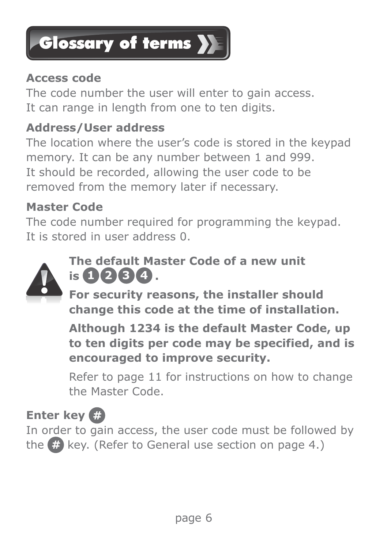

#### **Access code**

The code number the user will enter to gain access. It can range in length from one to ten digits.

### **Address/User address**

The location where the user's code is stored in the keypad memory. It can be any number between 1 and 999. It should be recorded, allowing the user code to be removed from the memory later if necessary.

#### **Master Code**

The code number required for programming the keypad. It is stored in user address 0.



### **The default Master Code of a new unit is 1 2 3 4 .**

**For security reasons, the installer should change this code at the time of installation.** 

**Although 1234 is the default Master Code, up to ten digits per code may be specified, and is encouraged to improve security.**

Refer to page 11 for instructions on how to change the Master Code.

### **Enter key**

In order to gain access, the user code must be followed by the (#) key. (Refer to General use section on page 4.)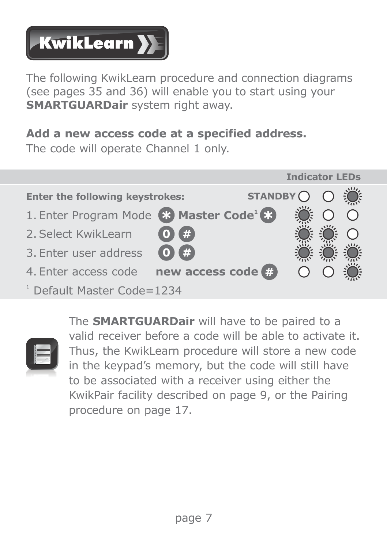

The following KwikLearn procedure and connection diagrams (see pages 35 and 36) will enable you to start using your **SMARTGUARDair** system right away.

### **Add a new access code at a specified address.**

The code will operate Channel 1 only.





The **SMARTGUARDair** will have to be paired to a valid receiver before a code will be able to activate it. Thus, the KwikLearn procedure will store a new code in the keypad's memory, but the code will still have to be associated with a receiver using either the KwikPair facility described on page 9, or the Pairing procedure on page 17.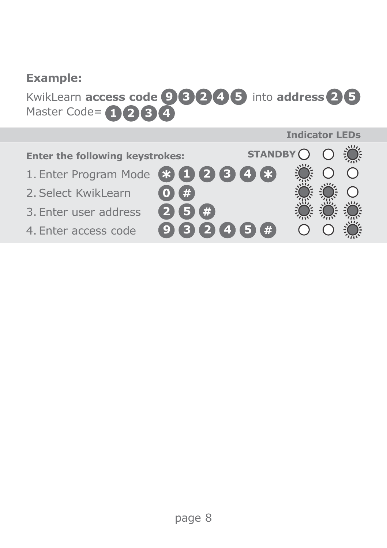### **Example:**

**KwikLearn access code 9 3 2 4 5** into address 2 5 Master Code= **3 4 1 2**

#### **Enter the following keystrokes:**

- 1. Enter Program Mode **3 1 2**
- 2. Select KwikLearn
- 3. Enter user address
- 4. Enter access code
- **2 5 0**

**4**

**9 3 2 4 5**

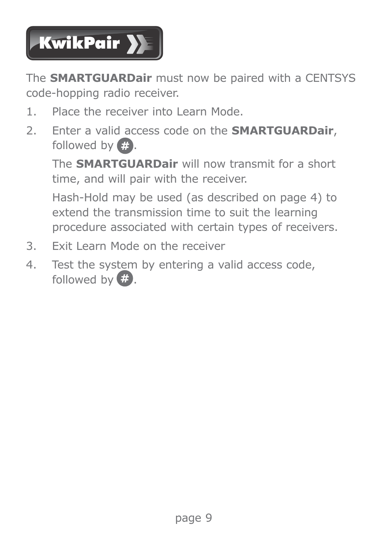

The **SMARTGUARDair** must now be paired with a CENTSYS code-hopping radio receiver.

- 1. Place the receiver into Learn Mode.
- 2. Enter a valid access code on the **SMARTGUARDair**, followed by  $\bigoplus$ .

The **SMARTGUARDair** will now transmit for a short time, and will pair with the receiver.

Hash-Hold may be used (as described on page 4) to extend the transmission time to suit the learning procedure associated with certain types of receivers.

- 3. Exit Learn Mode on the receiver
- 4. Test the system by entering a valid access code, followed by  $\mathbb{Z}$ .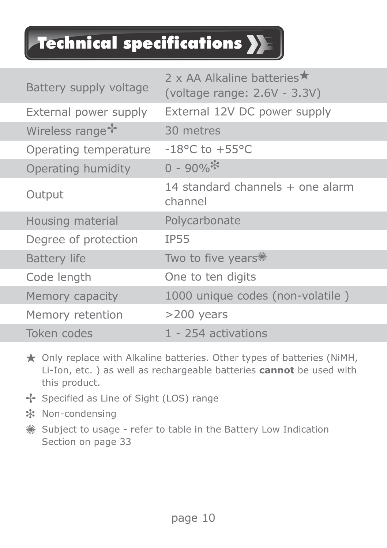## Technical specifications

| Battery supply voltage      | 2 x AA Alkaline batteries $\star$<br>(voltage range: 2.6V - 3.3V) |
|-----------------------------|-------------------------------------------------------------------|
| External power supply       | External 12V DC power supply                                      |
| Wireless range <sup>+</sup> | 30 metres                                                         |
| Operating temperature       | $-18$ °C to $+55$ °C                                              |
| Operating humidity          | $0 - 90\%$                                                        |
| Output                      | 14 standard channels $+$ one alarm<br>channel                     |
| Housing material            | Polycarbonate                                                     |
| Degree of protection        | <b>IP55</b>                                                       |
| <b>Battery life</b>         | Two to five years**                                               |
| Code length                 | One to ten digits                                                 |
| Memory capacity             | 1000 unique codes (non-volatile)                                  |
| Memory retention            | $>200$ years                                                      |
| Token codes                 | 1 - 254 activations                                               |

- ★ Only replace with Alkaline batteries. Other types of batteries (NiMH, Li-Ion, etc. ) as well as rechargeable batteries **cannot** be used with this product.
- Specified as Line of Sight (LOS) range
- Non-condensing
- Subject to usage refer to table in the Battery Low Indication Section on page 33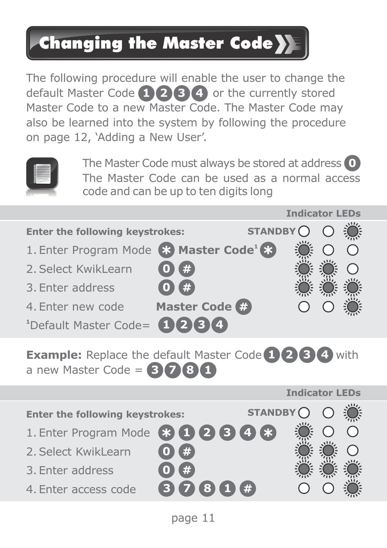### Changing the Master Code

The following procedure will enable the user to change the default Master Code **1 2 3 4** or the currently stored Master Code to a new Master Code. The Master Code may also be learned into the system by following the procedure on page 12, 'Adding a New User'.



The Master Code must always be stored at address **0** The Master Code can be used as a normal access code and can be up to ten digits long



**Example:** Replace the default Master Code  $(1)$  (2) (3) (4) with a new Master Code = **3\ 3 7 8 1**

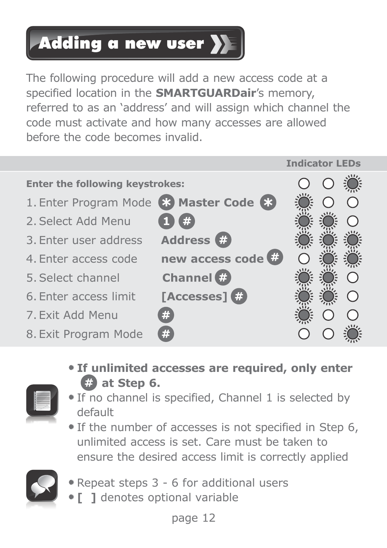### Adding a new user **>>**

The following procedure will add a new access code at a specified location in the **SMARTGUARDair**'s memory, referred to as an 'address' and will assign which channel the code must activate and how many accesses are allowed before the code becomes invalid.



 **If unlimited accesses are required, only enter a** at Step 6.



- If no channel is specified, Channel 1 is selected by default
- If the number of accesses is not specified in Step 6, unlimited access is set. Care must be taken to ensure the desired access limit is correctly applied



- Repeat steps 3 6 for additional users
- **[ ]** denotes optional variable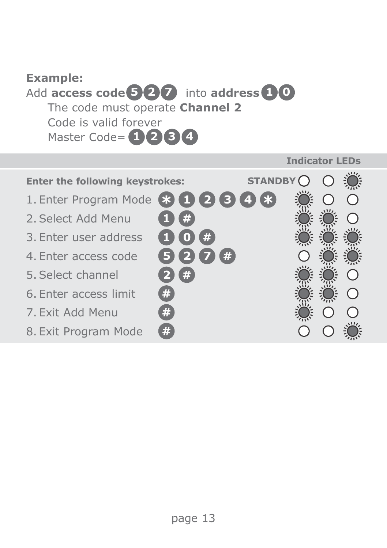### **Example: Add access code 5 2 7** into **address 1 0** The code must operate **Channel 2** Code is valid forever Master Code= **1 2 3 4**

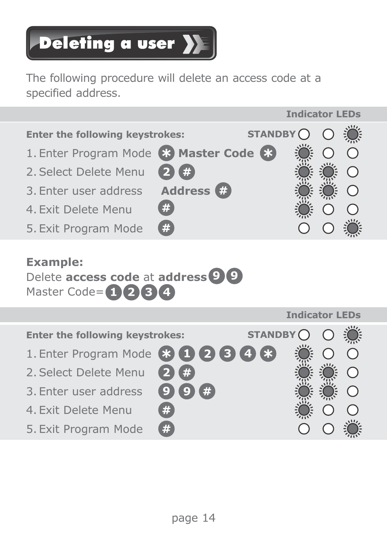# Deleting a user >

The following procedure will delete an access code at a specified address.



#### **Example:**

Delete **access code** at **address** 9 (9) Master Code= **3 4 1 2**

|                                 |         |         | Indicator LEDs |  |
|---------------------------------|---------|---------|----------------|--|
| Enter the following keystrokes: |         | STANDBY |                |  |
| 1. Enter Program Mode 800066    |         |         |                |  |
| 2. Select Delete Menu           | Œ       |         |                |  |
| 3. Enter user address           | #<br>O) |         |                |  |
| 4. Exit Delete Menu             | #       |         |                |  |
| 5. Exit Program Mode            | #       |         |                |  |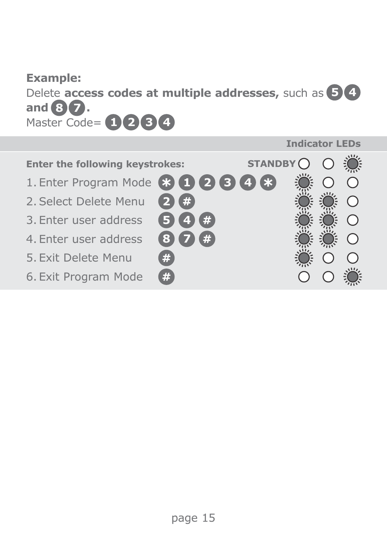#### **Example:**

Delete **access codes at multiple addresses,** such as **5 4** and  $\mathbf{3}$   $\mathbf{7}$ . Master Code= **3 4 1 2**

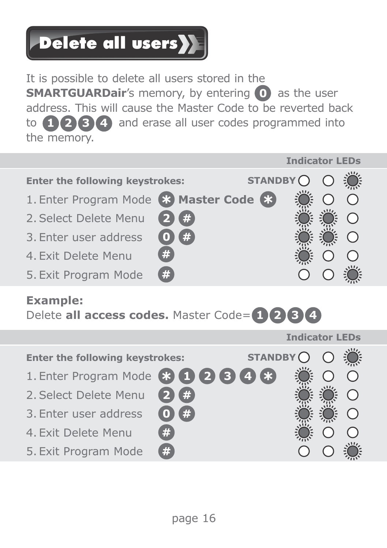# Delete all users<sup>y</sup>

It is possible to delete all users stored in the **SMARTGUARDair's memory, by entering 0** as the user address. This will cause the Master Code to be reverted back to **1 2 3 4** and erase all user codes programmed into the memory.



### **Example:**

Delete **all access codes.** Master Code= **1 2 3 4**

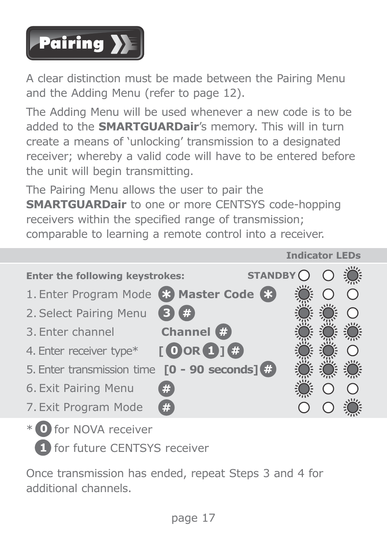

A clear distinction must be made between the Pairing Menu and the Adding Menu (refer to page 12).

The Adding Menu will be used whenever a new code is to be added to the **SMARTGUARDair**'s memory. This will in turn create a means of 'unlocking' transmission to a designated receiver; whereby a valid code will have to be entered before the unit will begin transmitting.

The Pairing Menu allows the user to pair the **SMARTGUARDair** to one or more CENTSYS code-hopping receivers within the specified range of transmission; comparable to learning a remote control into a receiver.



\* for NOVA receiver **0 1** for future CENTSYS receiver

Once transmission has ended, repeat Steps 3 and 4 for additional channels.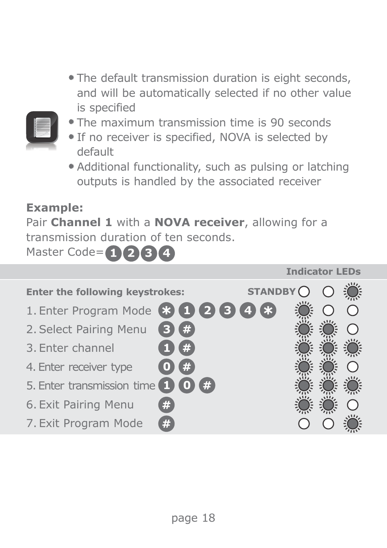The default transmission duration is eight seconds, and will be automatically selected if no other value is specified



- The maximum transmission time is 90 seconds
- **If no receiver is specified. NOVA is selected by** default
- Additional functionality, such as pulsing or latching outputs is handled by the associated receiver

#### **Example:**

Pair **Channel 1** with a **NOVA receiver**, allowing for a transmission duration of ten seconds.

Master Code= **1 2 3 4**

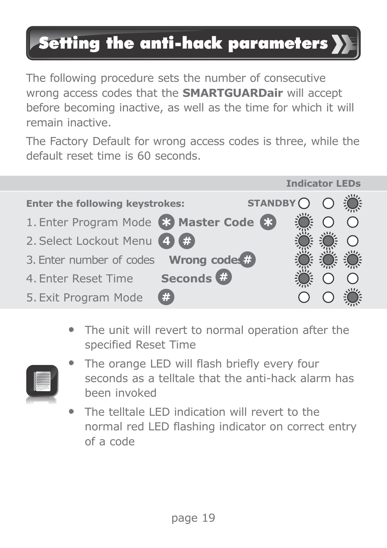### Setting the anti-hack parameters

The following procedure sets the number of consecutive wrong access codes that the **SMARTGUARDair** will accept before becoming inactive, as well as the time for which it will remain inactive.

The Factory Default for wrong access codes is three, while the default reset time is 60 seconds.



 The unit will revert to normal operation after the specified Reset Time



- The orange LED will flash briefly every four seconds as a telltale that the anti-hack alarm has been invoked
- The telltale LED indication will revert to the normal red LED flashing indicator on correct entry of a code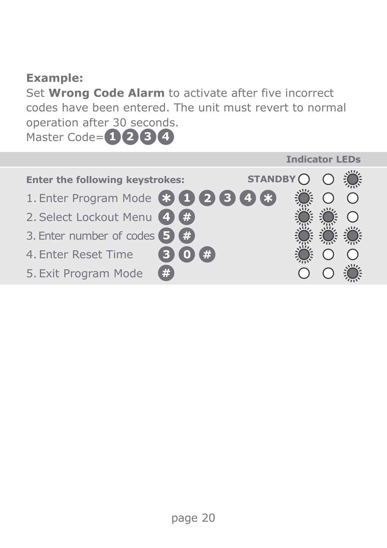#### **Example:**

Set **Wrong Code Alarm** to activate after five incorrect codes have been entered. The unit must revert to normal operation after 30 seconds.

Master Code= **1 2 3 4**

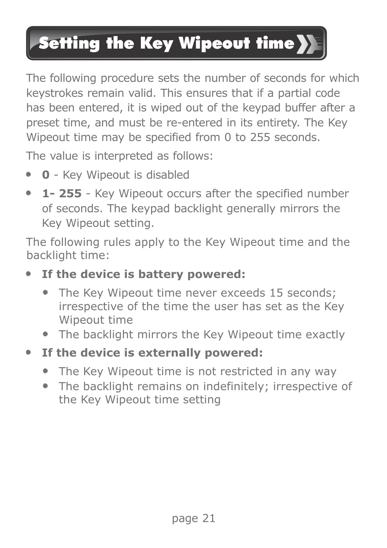## **Setting the Key Wipeout time }**

The following procedure sets the number of seconds for which keystrokes remain valid. This ensures that if a partial code has been entered, it is wiped out of the keypad buffer after a preset time, and must be re-entered in its entirety. The Key Wineout time may be specified from 0 to 255 seconds.

The value is interpreted as follows:

- **0** Key Wipeout is disabled
- **1- 255** Key Wipeout occurs after the specified number of seconds. The keypad backlight generally mirrors the Key Wipeout setting.

The following rules apply to the Key Wipeout time and the backlight time:

- **If the device is battery powered:**
	- The Key Wipeout time never exceeds 15 seconds: irrespective of the time the user has set as the Key Wipeout time
	- The backlight mirrors the Key Wipeout time exactly
- **If the device is externally powered:**
	- The Key Wipeout time is not restricted in any way
	- The backlight remains on indefinitely; irrespective of the Key Wipeout time setting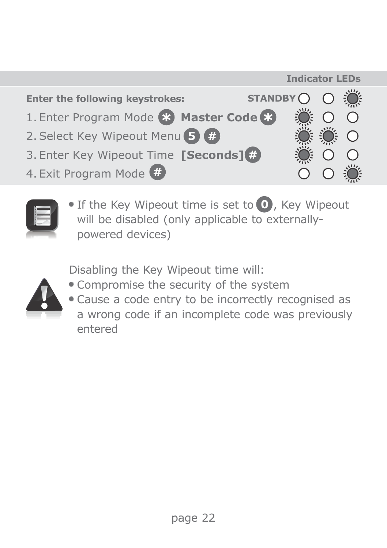



 $\bullet$  If the Key Wipeout time is set to  $\bullet$ , Key Wipeout will be disabled (only applicable to externallypowered devices)

Disabling the Key Wipeout time will:



- Compromise the security of the system
- Cause a code entry to be incorrectly recognised as a wrong code if an incomplete code was previously entered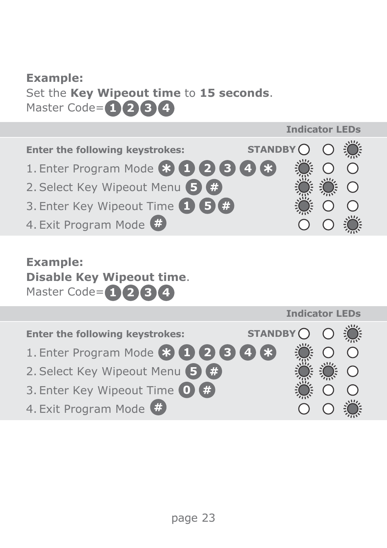#### **Example:**

Set the **Key Wipeout time** to **15 seconds**. Master Code= **1 2 3 4**



### **Example:**

**Disable Key Wipeout time**. Master Code= **1 2 3 4**

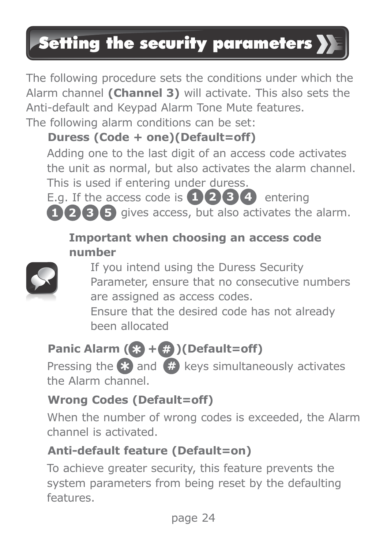## Setting the security parameters >>

The following procedure sets the conditions under which the Alarm channel **(Channel 3)** will activate. This also sets the Anti-default and Keypad Alarm Tone Mute features.

The following alarm conditions can be set:

### **Duress (Code + one)(Default=off)**

Adding one to the last digit of an access code activates the unit as normal, but also activates the alarm channel. This is used if entering under duress.

E.g. If the access code is  $\left( \frac{1}{2} \right) \left( 3 \right) \left( 4 \right)$  entering gives access, but also activates the alarm. **1 3 5 2**

### **Important when choosing an access code number**



If you intend using the Duress Security Parameter, ensure that no consecutive numbers are assigned as access codes.

Ensure that the desired code has not already been allocated

### **Panic Alarm (83 + (2)** (Default=off)

Pressing the  $\approx$  and  $\#$  keys simultaneously activates the Alarm channel.

### **Wrong Codes (Default=off)**

When the number of wrong codes is exceeded, the Alarm channel is activated.

### **Anti-default feature (Default=on)**

To achieve greater security, this feature prevents the system parameters from being reset by the defaulting features.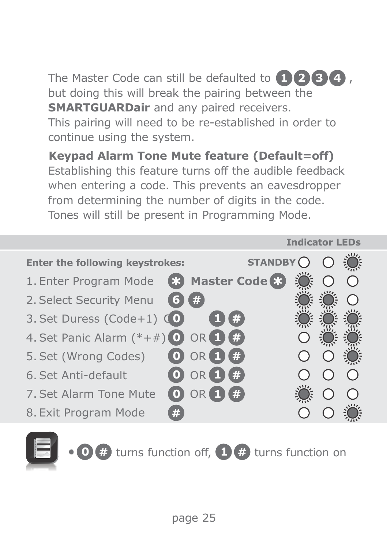The Master Code can still be defaulted to  $(1)$  **2 3 4** *i*, but doing this will break the pairing between the **SMARTGUARDair** and any paired receivers. This pairing will need to be re-established in order to

continue using the system.

**Keypad Alarm Tone Mute feature (Default=off)** Establishing this feature turns off the audible feedback when entering a code. This prevents an eavesdropper from determining the number of digits in the code. Tones will still be present in Programming Mode.



**O**  $\oplus$  turns function off,  $\oplus$   $\oplus$  turns function on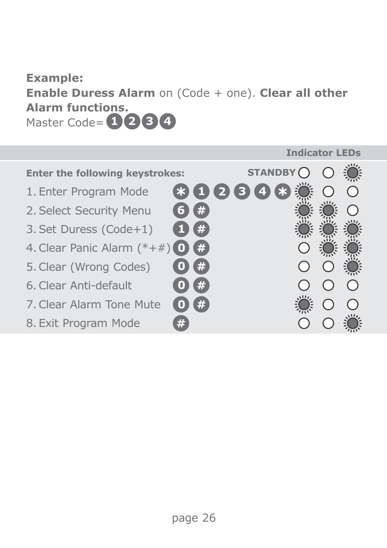### **Example: Enable Duress Alarm** on (Code + one). **Clear all other Alarm functions.** Master Code= **1 2 3 4**

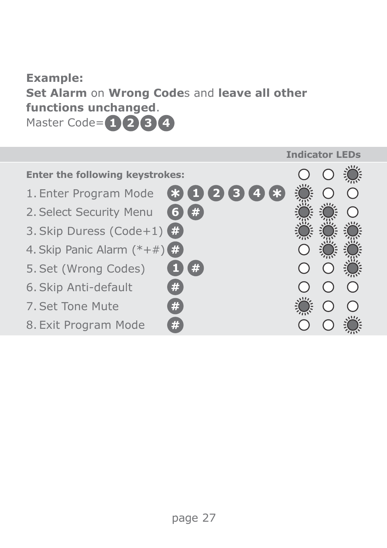### **Example: Set Alarm** on **Wrong Code**s and **leave all other functions unchanged**. Master Code= **1 2 3 4**

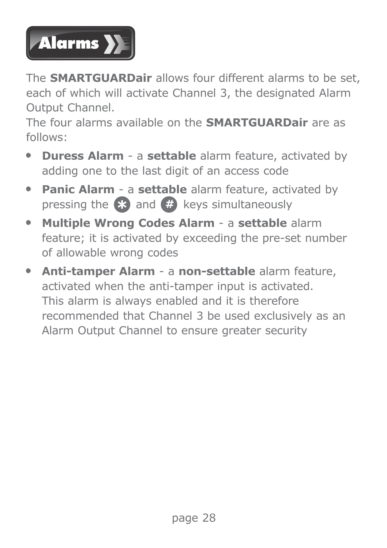

The **SMARTGUARDair** allows four different alarms to be set, each of which will activate Channel 3, the designated Alarm Output Channel.

The four alarms available on the **SMARTGUARDair** are as follows:

- **Duress Alarm** a **settable** alarm feature, activated by adding one to the last digit of an access code
- **Panic Alarm** a **settable** alarm feature, activated by pressing the  $\epsilon$ **3** and  $\ddot{\theta}$  keys simultaneously
- **Multiple Wrong Codes Alarm** a **settable** alarm feature; it is activated by exceeding the pre-set number of allowable wrong codes
- **Anti-tamper Alarm** a **non-settable** alarm feature, activated when the anti-tamper input is activated. This alarm is always enabled and it is therefore recommended that Channel 3 be used exclusively as an Alarm Output Channel to ensure greater security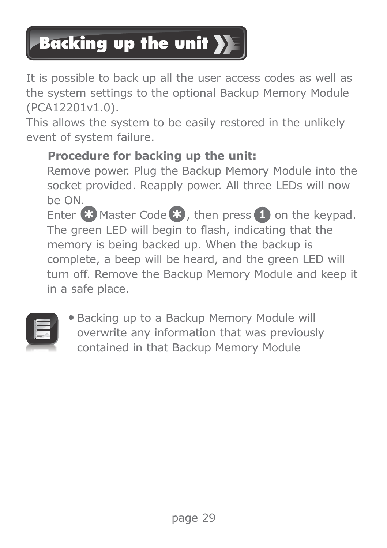## **Backing up the unit >>**

It is possible to back up all the user access codes as well as the system settings to the optional Backup Memory Module (PCA12201v1.0).

This allows the system to be easily restored in the unlikely event of system failure.

### **Procedure for backing up the unit:**

Remove power. Plug the Backup Memory Module into the socket provided. Reapply power. All three LEDs will now be ON.

Enter  $\bullet$  Master Code  $\bullet$ , then press  $\bullet$  on the keypad. The green LED will begin to flash, indicating that the memory is being backed up. When the backup is complete, a beep will be heard, and the green LED will turn off. Remove the Backup Memory Module and keep it in a safe place.



 Backing up to a Backup Memory Module will overwrite any information that was previously contained in that Backup Memory Module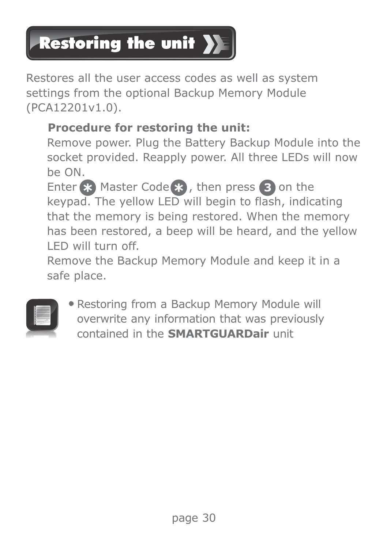# **Restoring the unit >**

Restores all the user access codes as well as system settings from the optional Backup Memory Module (PCA12201v1.0).

### **Procedure for restoring the unit:**

Remove power. Plug the Battery Backup Module into the socket provided. Reapply power. All three LEDs will now be ON.

Enter  $\approx$  Master Code  $\approx$ , then press 3 on the keypad. The yellow LED will begin to flash, indicating that the memory is being restored. When the memory has been restored, a beep will be heard, and the yellow LED will turn off.

Remove the Backup Memory Module and keep it in a safe place.



 Restoring from a Backup Memory Module will overwrite any information that was previously contained in the **SMARTGUARDair** unit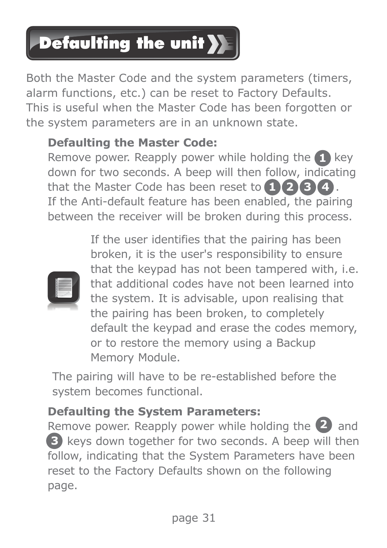## **Defaulting the unit >>**

Both the Master Code and the system parameters (timers, alarm functions, etc.) can be reset to Factory Defaults. This is useful when the Master Code has been forgotten or the system parameters are in an unknown state.

### **Defaulting the Master Code:**

Remove power. Reapply power while holding the **1** key that the Master Code has been reset to  $(1)$   $(2)$   $(3)$   $(4)$ . down for two seconds. A beep will then follow, indicating If the Anti-default feature has been enabled, the pairing between the receiver will be broken during this process.



If the user identifies that the pairing has been broken, it is the user's responsibility to ensure that the keypad has not been tampered with, i.e. that additional codes have not been learned into the system. It is advisable, upon realising that the pairing has been broken, to completely default the keypad and erase the codes memory, or to restore the memory using a Backup Memory Module.

The pairing will have to be re-established before the system becomes functional.

### **Defaulting the System Parameters:**

Remove power. Reapply power while holding the 2 and **3** keys down together for two seconds. A beep will then follow, indicating that the System Parameters have been reset to the Factory Defaults shown on the following page.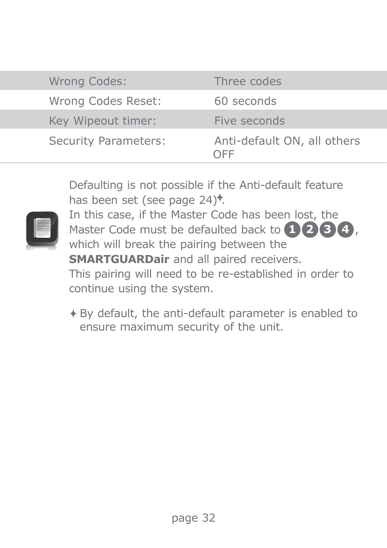| Wrong Codes:         | Three codes                        |
|----------------------|------------------------------------|
| Wrong Codes Reset:   | 60 seconds                         |
| Key Wipeout timer:   | Five seconds                       |
| Security Parameters: | Anti-default ON, all others<br>OFF |

Defaulting is not possible if the Anti-default feature has been set (see page  $24$ )<sup>\*</sup>.



In this case, if the Master Code has been lost, the Master Code must be defaulted back to  $\bullet$  **2 3**  $\bullet$  *i*, which will break the pairing between the **SMARTGUARDair** and all paired receivers. This pairing will need to be re-established in order to continue using the system.

By default, the anti-default parameter is enabled to ensure maximum security of the unit.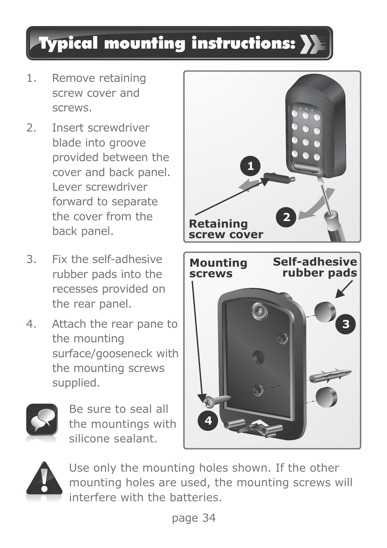### Typical mounting instructions:

- 1. Remove retaining screw cover and screws.
- 2. Insert screwdriver blade into groove provided between the cover and back panel. Lever screwdriver forward to separate the cover from the back panel.
- 3. Fix the self-adhesive rubber pads into the recesses provided on the rear panel.
- 4. Attach the rear pane to the mounting surface/gooseneck with the mounting screws supplied.



Be sure to seal all the mountings with silicone sealant.





Use only the mounting holes shown. If the other mounting holes are used, the mounting screws will interfere with the batteries.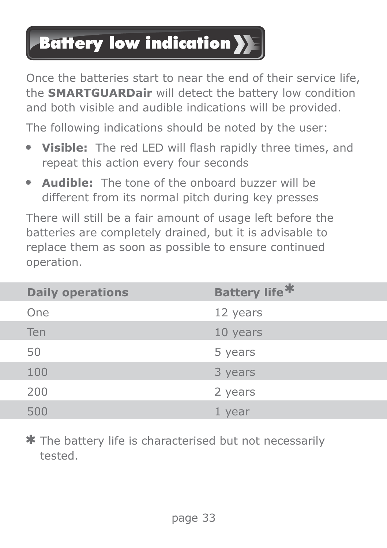### **Battery low indication >>**

Once the batteries start to near the end of their service life, the **SMARTGUARDair** will detect the battery low condition and both visible and audible indications will be provided.

The following indications should be noted by the user:

- **Visible:** The red LED will flash rapidly three times, and repeat this action every four seconds
- **Audible:** The tone of the onboard buzzer will be different from its normal pitch during key presses

There will still be a fair amount of usage left before the batteries are completely drained, but it is advisable to replace them as soon as possible to ensure continued operation.

| <b>Daily operations</b> | Battery life <sup>*</sup> |
|-------------------------|---------------------------|
| One                     | 12 years                  |
| Ten                     | 10 years                  |
| 50                      | 5 years                   |
| 100                     | 3 years                   |
| 200                     | 2 years                   |
| 500                     | 1 year                    |

The battery life is characterised but not necessarily tested.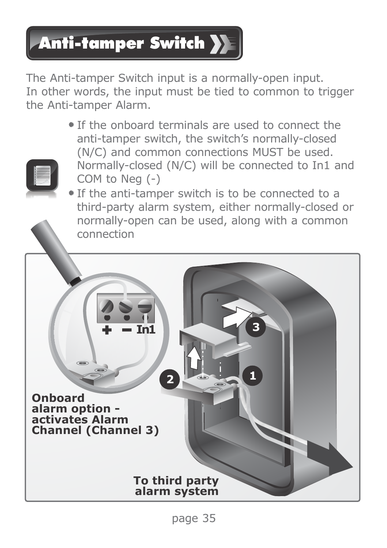# **Anti-tamper Switch >>**

The Anti-tamper Switch input is a normally-open input. In other words, the input must be tied to common to trigger the Anti-tamper Alarm.

> If the onboard terminals are used to connect the anti-tamper switch, the switch's normally-closed (N/C) and common connections MUST be used. Normally-closed (N/C) will be connected to In1 and COM to Neg (-)



 If the anti-tamper switch is to be connected to a third-party alarm system, either normally-closed or normally-open can be used, along with a common connection

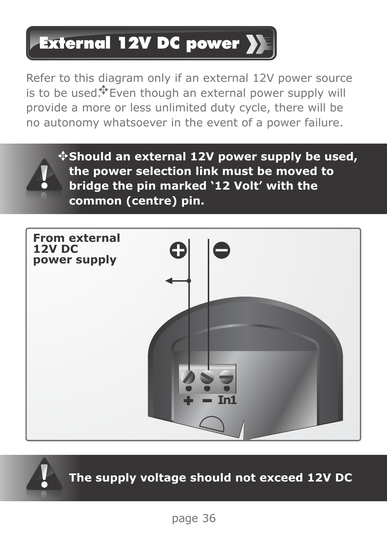## External 12V DC power

Refer to this diagram only if an external 12V power source is to be used.<sup>\*</sup>Even though an external power supply will provide a more or less unlimited duty cycle, there will be no autonomy whatsoever in the event of a power failure.



**Should an external 12V power supply be used, the power selection link must be moved to bridge the pin marked '12 Volt' with the common (centre) pin.**



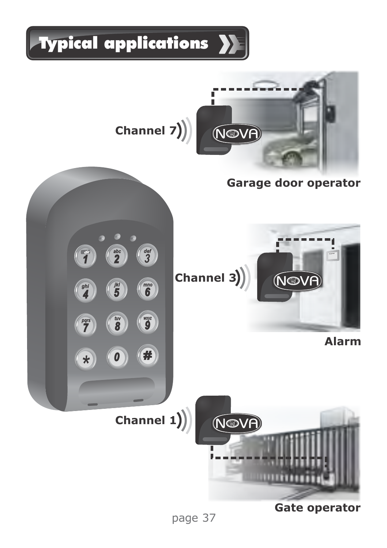

page 37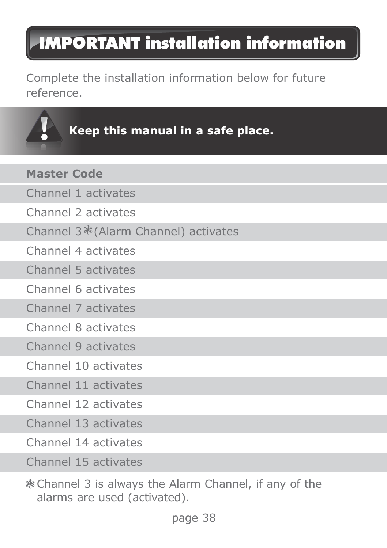### IMPORTANT installation information

Complete the installation information below for future reference.

### **Keep this manual in a safe place.**

| <b>Master Code</b>                               |
|--------------------------------------------------|
| Channel 1 activates                              |
| Channel 2 activates                              |
| Channel 3 <sup>*</sup> (Alarm Channel) activates |
| Channel 4 activates                              |
| Channel 5 activates                              |
| Channel 6 activates                              |
| Channel 7 activates                              |
| Channel 8 activates                              |
| Channel 9 activates                              |
| Channel 10 activates                             |
| Channel 11 activates                             |
| Channel 12 activates                             |
| Channel 13 activates                             |
| Channel 14 activates                             |
|                                                  |

Channel 15 activates

Channel 3 is always the Alarm Channel, if any of the alarms are used (activated).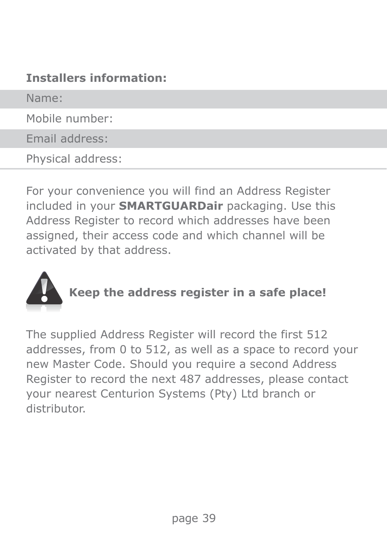#### **Installers information:**

Name:

Mobile number:

Email address:

Physical address:

For your convenience you will find an Address Register included in your **SMARTGUARDair** packaging. Use this Address Register to record which addresses have been assigned, their access code and which channel will be activated by that address.



**Keep the address register in a safe place!**

The supplied Address Register will record the first 512 addresses, from 0 to 512, as well as a space to record your new Master Code. Should you require a second Address Register to record the next 487 addresses, please contact your nearest Centurion Systems (Pty) Ltd branch or distributor.